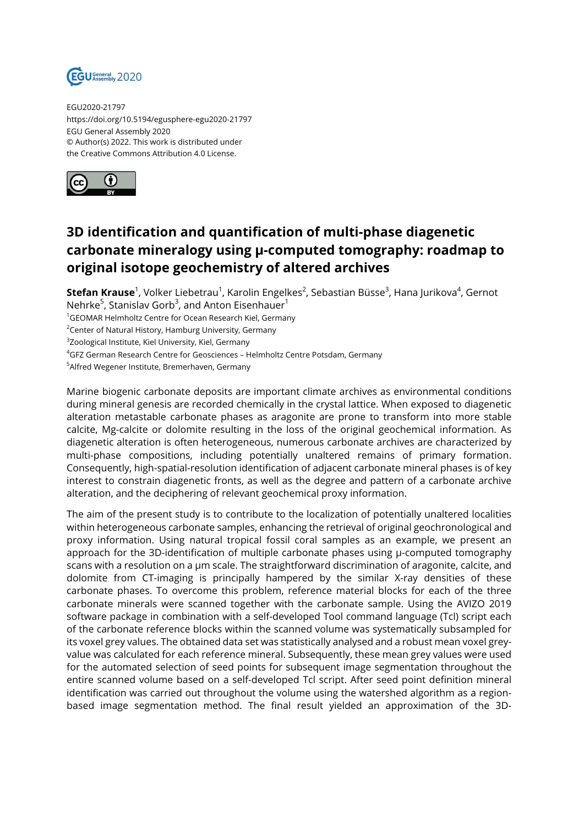

EGU2020-21797 https://doi.org/10.5194/egusphere-egu2020-21797 EGU General Assembly 2020 © Author(s) 2022. This work is distributed under the Creative Commons Attribution 4.0 License.



## **3D identification and quantification of multi-phase diagenetic carbonate mineralogy using µ-computed tomography: roadmap to original isotope geochemistry of altered archives**

**Stefan Krause**<sup>1</sup>, Volker Liebetrau<sup>1</sup>, Karolin Engelkes<sup>2</sup>, Sebastian Büsse<sup>3</sup>, Hana Jurikova<sup>4</sup>, Gernot Nehrke<sup>5</sup>, Stanislav Gorb<sup>3</sup>, and Anton Eisenhauer<sup>1</sup>

<sup>1</sup>GEOMAR Helmholtz Centre for Ocean Research Kiel, Germany

<sup>2</sup>Center of Natural History, Hamburg University, Germany

 $^3$ Zoological Institute, Kiel University, Kiel, Germany

<sup>4</sup>GFZ German Research Centre for Geosciences - Helmholtz Centre Potsdam, Germany

<sup>5</sup>Alfred Wegener Institute, Bremerhaven, Germany

Marine biogenic carbonate deposits are important climate archives as environmental conditions during mineral genesis are recorded chemically in the crystal lattice. When exposed to diagenetic alteration metastable carbonate phases as aragonite are prone to transform into more stable calcite, Mg-calcite or dolomite resulting in the loss of the original geochemical information. As diagenetic alteration is often heterogeneous, numerous carbonate archives are characterized by multi-phase compositions, including potentially unaltered remains of primary formation. Consequently, high-spatial-resolution identification of adjacent carbonate mineral phases is of key interest to constrain diagenetic fronts, as well as the degree and pattern of a carbonate archive alteration, and the deciphering of relevant geochemical proxy information.

The aim of the present study is to contribute to the localization of potentially unaltered localities within heterogeneous carbonate samples, enhancing the retrieval of original geochronological and proxy information. Using natural tropical fossil coral samples as an example, we present an approach for the 3D-identification of multiple carbonate phases using µ-computed tomography scans with a resolution on a µm scale. The straightforward discrimination of aragonite, calcite, and dolomite from CT-imaging is principally hampered by the similar X-ray densities of these carbonate phases. To overcome this problem, reference material blocks for each of the three carbonate minerals were scanned together with the carbonate sample. Using the AVIZO 2019 software package in combination with a self-developed Tool command language (Tcl) script each of the carbonate reference blocks within the scanned volume was systematically subsampled for its voxel grey values. The obtained data set was statistically analysed and a robust mean voxel greyvalue was calculated for each reference mineral. Subsequently, these mean grey values were used for the automated selection of seed points for subsequent image segmentation throughout the entire scanned volume based on a self-developed Tcl script. After seed point definition mineral identification was carried out throughout the volume using the watershed algorithm as a regionbased image segmentation method. The final result yielded an approximation of the 3D-